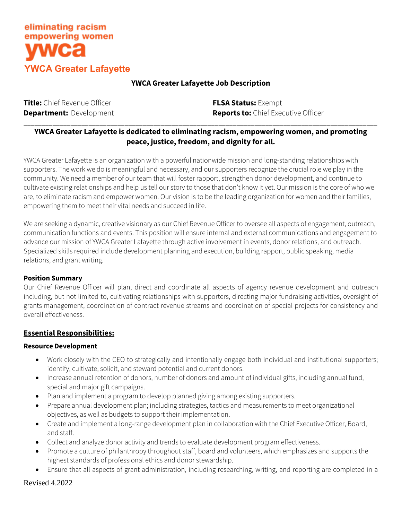

## **YWCA Greater Lafayette Job Description**

| Title: Chief Revenue Officer   | <b>FLSA Status: Exempt</b>                 |
|--------------------------------|--------------------------------------------|
| <b>Department:</b> Development | <b>Reports to:</b> Chief Executive Officer |
|                                |                                            |

## **YWCA Greater Lafayette is dedicated to eliminating racism, empowering women, and promoting peace, justice, freedom, and dignity for all.**

YWCA Greater Lafayette is an organization with a powerful nationwide mission and long-standing relationships with supporters. The work we do is meaningful and necessary, and our supporters recognize the crucial role we play in the community. We need a member of our team that will foster rapport, strengthen donor development, and continue to cultivate existing relationships and help us tell our story to those that don't know it yet. Our mission is the core of who we are, to eliminate racism and empower women. Our vision is to be the leading organization for women and their families, empowering them to meet their vital needs and succeed in life.

We are seeking a dynamic, creative visionary as our Chief Revenue Officer to oversee all aspects of engagement, outreach, communication functions and events. This position will ensure internal and external communications and engagement to advance our mission of YWCA Greater Lafayette through active involvement in events, donor relations, and outreach. Specialized skills required include development planning and execution, building rapport, public speaking, media relations, and grant writing.

#### **Position Summary**

Our Chief Revenue Officer will plan, direct and coordinate all aspects of agency revenue development and outreach including, but not limited to, cultivating relationships with supporters, directing major fundraising activities, oversight of grants management, coordination of contract revenue streams and coordination of special projects for consistency and overall effectiveness.

#### **Essential Responsibilities:**

#### **Resource Development**

- Work closely with the CEO to strategically and intentionally engage both individual and institutional supporters; identify, cultivate, solicit, and steward potential and current donors.
- Increase annual retention of donors, number of donors and amount of individual gifts, including annual fund, special and major gift campaigns.
- Plan and implement a program to develop planned giving among existing supporters.
- Prepare annual development plan; including strategies, tactics and measurements to meet organizational objectives, as well as budgets to support their implementation.
- Create and implement a long-range development plan in collaboration with the Chief Executive Officer, Board, and staff.
- Collect and analyze donor activity and trends to evaluate development program effectiveness.
- Promote a culture of philanthropy throughout staff, board and volunteers, which emphasizes and supports the highest standards of professional ethics and donor stewardship.
- Ensure that all aspects of grant administration, including researching, writing, and reporting are completed in a

Revised 4.2022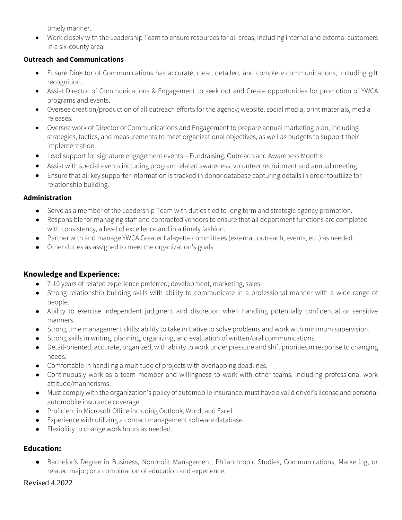timely manner.

• Work closely with the Leadership Team to ensure resources for all areas, including internal and external customers in a six-county area.

## **Outreach and Communications**

- Ensure Director of Communications has accurate, clear, detailed, and complete communications, including gift recognition.
- Assist Director of Communications & Engagement to seek out and Create opportunities for promotion of YWCA programs and events.
- Oversee creation/production of all outreach efforts for the agency; website, social media, print materials, media releases.
- Oversee work of Director of Communications and Engagement to prepare annual marketing plan; including strategies, tactics, and measurements to meet organizational objectives, as well as budgets to support their implementation.
- Lead support for signature engagement events Fundraising, Outreach and Awareness Months
- Assist with special events including program related awareness, volunteer recruitment and annual meeting.
- Ensure that all key supporter information is tracked in donor database capturing details in order to utilize for relationship building.

### **Administration**

- Serve as a member of the Leadership Team with duties tied to long term and strategic agency promotion.
- Responsible for managing staff and contracted vendors to ensure that all department functions are completed with consistency, a level of excellence and in a timely fashion.
- Partner with and manage YWCA Greater Lafayette committees (external, outreach, events, etc.) as needed.
- Other duties as assigned to meet the organization's goals.

## **Knowledge and Experience:**

- 7-10 years of related experience preferred; development, marketing, sales.
- Strong relationship building skills with ability to communicate in a professional manner with a wide range of people.
- Ability to exercise independent judgment and discretion when handling potentially confidential or sensitive manners.
- Strong time management skills: ability to take initiative to solve problems and work with minimum supervision.
- Strong skills in writing, planning, organizing, and evaluation of written/oral communications.
- Detail-oriented, accurate, organized, with ability to work under pressure and shift priorities in response to changing needs.
- Comfortable in handling a multitude of projects with overlapping deadlines.
- Continuously work as a team member and willingness to work with other teams, including professional work attitude/mannerisms.
- Must comply with the organization's policy of automobile insurance: must have a valid driver's license and personal automobile insurance coverage.
- Proficient in Microsoft Office including Outlook, Word, and Excel.
- Experience with utilizing a contact management software database.
- Flexibility to change work hours as needed.

# **Education:**

Bachelor's Degree in Business, Nonprofit Management, Philanthropic Studies, Communications, Marketing, or related major; or a combination of education and experience.

### Revised 4.2022